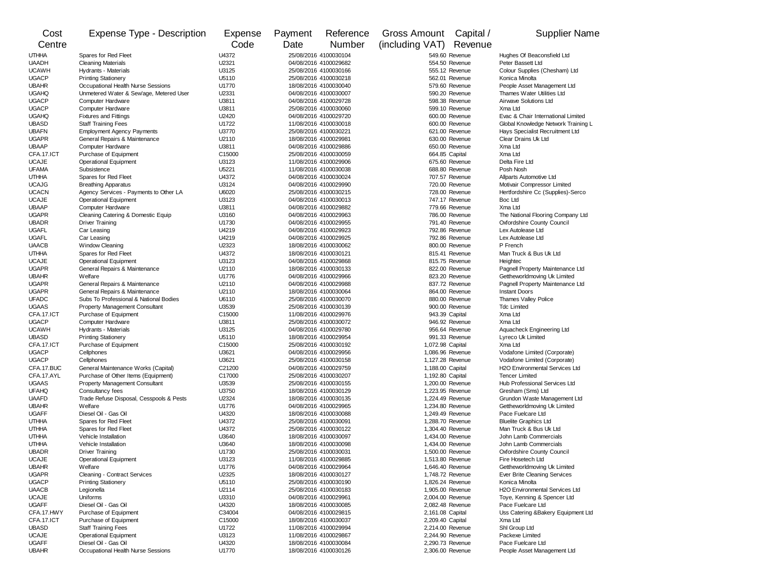| Cost                         | Expense Type - Description                                                    | Expense        | Payment                                        | Reference                                      | Gross Amount                         | Capital /                        | <b>Supplier Name</b>                                      |
|------------------------------|-------------------------------------------------------------------------------|----------------|------------------------------------------------|------------------------------------------------|--------------------------------------|----------------------------------|-----------------------------------------------------------|
| Centre                       |                                                                               | Code           | Date                                           | Number                                         | (including VAT) Revenue              |                                  |                                                           |
| <b>UTHHA</b>                 | Spares for Red Fleet                                                          | U4372          | 25/08/2016 4100030104                          |                                                | 549.60 Revenue                       |                                  | Hughes Of Beaconsfield Ltd                                |
| <b>UAADH</b>                 | <b>Cleaning Materials</b>                                                     | U2321          | 04/08/2016 4100029682                          |                                                | 554.50 Revenue                       |                                  | Peter Bassett Ltd                                         |
| <b>UCAWH</b>                 | Hydrants - Materials                                                          | U3125          | 25/08/2016 4100030166                          |                                                | 555.12 Revenue                       |                                  | Colour Supplies (Chesham) Ltd                             |
| <b>UGACP</b>                 | <b>Printing Stationery</b>                                                    | U5110          | 25/08/2016 4100030218<br>18/08/2016 4100030040 |                                                | 562.01 Revenue                       |                                  | Konica Minolta                                            |
| <b>UBAHR</b><br><b>UGAHQ</b> | Occupational Health Nurse Sessions<br>Unmetered Water & Sew'age, Metered User | U1770<br>U2331 |                                                | 04/08/2016 4100030007                          |                                      | 579.60 Revenue<br>590.20 Revenue | People Asset Management Ltd<br>Thames Water Utilities Ltd |
| <b>UGACP</b>                 | Computer Hardware                                                             | U3811          |                                                | 04/08/2016 4100029728                          |                                      | 598.38 Revenue                   | <b>Airwave Solutions Ltd</b>                              |
| <b>UGACP</b>                 | Computer Hardware                                                             | U3811          |                                                | 25/08/2016 4100030060                          |                                      | 599.10 Revenue                   | Xma Ltd                                                   |
| <b>UGAHQ</b>                 | <b>Fixtures and Fittings</b>                                                  | U2420          |                                                | 04/08/2016 4100029720                          |                                      | 600.00 Revenue                   | Evac & Chair International Limited                        |
| <b>UBASD</b>                 | <b>Staff Training Fees</b>                                                    | U1722          |                                                | 11/08/2016 4100030018                          |                                      | 600.00 Revenue                   | Global Knowledge Network Training L                       |
| <b>UBAFN</b>                 | <b>Employment Agency Payments</b>                                             | U3770          |                                                | 25/08/2016 4100030221                          |                                      | 621.00 Revenue                   | Hays Specialist Recruitment Ltd                           |
| <b>UGAPR</b><br><b>UBAAP</b> | General Repairs & Maintenance                                                 | U2110<br>U3811 |                                                | 18/08/2016 4100029981                          |                                      | 630.00 Revenue                   | Clear Drains Uk Ltd                                       |
| CFA.17.ICT                   | Computer Hardware<br>Purchase of Equipment                                    | C15000         |                                                | 04/08/2016 4100029886<br>25/08/2016 4100030059 |                                      | 650.00 Revenue<br>664.85 Capital | Xma Ltd<br>Xma Ltd                                        |
| <b>UCAJE</b>                 | <b>Operational Equipment</b>                                                  | U3123          |                                                | 11/08/2016 4100029906                          |                                      | 675.60 Revenue                   | Delta Fire Ltd                                            |
| <b>UFAMA</b>                 | Subsistence                                                                   | U5221          |                                                | 11/08/2016 4100030038                          |                                      | 688.80 Revenue                   | Posh Nosh                                                 |
| <b>UTHHA</b>                 | Spares for Red Fleet                                                          | U4372          |                                                | 04/08/2016 4100030024                          |                                      | 707.57 Revenue                   | Allparts Automotive Ltd                                   |
| <b>UCAJG</b>                 | <b>Breathing Apparatus</b>                                                    | U3124          |                                                | 04/08/2016 4100029990                          |                                      | 720.00 Revenue                   | Motivair Compressor Limited                               |
| <b>UCACN</b>                 | Agency Services - Payments to Other LA                                        | U6020          |                                                | 25/08/2016 4100030215                          |                                      | 728.00 Revenue                   | Hertfordshire Cc (Supplies)-Serco                         |
| <b>UCAJE</b><br><b>UBAAP</b> | <b>Operational Equipment</b><br>Computer Hardware                             | U3123<br>U3811 |                                                | 04/08/2016 4100030013<br>04/08/2016 4100029882 |                                      | 747.17 Revenue<br>779.66 Revenue | Boc Ltd<br>Xma Ltd                                        |
| <b>UGAPR</b>                 | Cleaning Catering & Domestic Equip                                            | U3160          |                                                | 04/08/2016 4100029963                          |                                      | 786.00 Revenue                   | The National Flooring Company Ltd                         |
| <b>UBADR</b>                 | <b>Driver Training</b>                                                        | U1730          |                                                | 04/08/2016 4100029955                          |                                      | 791.40 Revenue                   | Oxfordshire County Council                                |
| <b>UGAFL</b>                 | Car Leasing                                                                   | U4219          |                                                | 04/08/2016 4100029923                          |                                      | 792.86 Revenue                   | Lex Autolease Ltd                                         |
| <b>UGAFL</b>                 | Car Leasing                                                                   | U4219          |                                                | 04/08/2016 4100029925                          |                                      | 792.86 Revenue                   | Lex Autolease Ltd                                         |
| <b>UAACB</b>                 | <b>Window Cleaning</b>                                                        | U2323          |                                                | 18/08/2016 4100030062                          |                                      | 800.00 Revenue                   | P French                                                  |
| <b>UTHHA</b>                 | Spares for Red Fleet                                                          | U4372          |                                                | 18/08/2016 4100030121                          |                                      | 815.41 Revenue                   | Man Truck & Bus Uk Ltd                                    |
| <b>UCAJE</b><br><b>UGAPR</b> | <b>Operational Equipment</b><br>General Repairs & Maintenance                 | U3123<br>U2110 |                                                | 04/08/2016 4100029868<br>18/08/2016 4100030133 |                                      | 815.75 Revenue<br>822.00 Revenue | Heightec<br>Pagnell Property Maintenance Ltd              |
| <b>UBAHR</b>                 | Welfare                                                                       | U1776          |                                                | 04/08/2016 4100029966                          |                                      | 823.20 Revenue                   | Gettheworldmoving Uk Limited                              |
| <b>UGAPR</b>                 | General Repairs & Maintenance                                                 | U2110          |                                                | 04/08/2016 4100029988                          |                                      | 837.72 Revenue                   | Pagnell Property Maintenance Ltd                          |
| <b>UGAPR</b>                 | General Repairs & Maintenance                                                 | U2110          |                                                | 18/08/2016 4100030064                          |                                      | 864.00 Revenue                   | <b>Instant Doors</b>                                      |
| <b>UFADC</b>                 | Subs To Professional & National Bodies                                        | U6110          |                                                | 25/08/2016 4100030070                          |                                      | 880.00 Revenue                   | Thames Valley Police                                      |
| <b>UGAAS</b>                 | <b>Property Management Consultant</b>                                         | U3539          |                                                | 25/08/2016 4100030139                          |                                      | 900.00 Revenue                   | <b>Tdc Limited</b>                                        |
| CFA.17.ICT                   | Purchase of Equipment                                                         | C15000         |                                                | 11/08/2016 4100029976                          |                                      | 943.39 Capital                   | Xma Ltd                                                   |
| <b>UGACP</b><br><b>UCAWH</b> | Computer Hardware<br>Hydrants - Materials                                     | U3811<br>U3125 |                                                | 25/08/2016 4100030072<br>04/08/2016 4100029780 |                                      | 946.92 Revenue<br>956.64 Revenue | Xma Ltd<br>Aquacheck Engineering Ltd                      |
| <b>UBASD</b>                 | <b>Printing Stationery</b>                                                    | U5110          |                                                | 18/08/2016 4100029954                          |                                      | 991.33 Revenue                   | Lyreco Uk Limited                                         |
| CFA.17.ICT                   | Purchase of Equipment                                                         | C15000         |                                                | 25/08/2016 4100030192                          | 1,072.98 Capital                     |                                  | Xma Ltd                                                   |
| <b>UGACP</b>                 | Cellphones                                                                    | U3621          |                                                | 04/08/2016 4100029956                          |                                      | 1,086.96 Revenue                 | Vodafone Limited (Corporate)                              |
| <b>UGACP</b>                 | Cellphones                                                                    | U3621          |                                                | 25/08/2016 4100030158                          | 1,127.28 Revenue                     |                                  | Vodafone Limited (Corporate)                              |
| CFA.17.BUC                   | General Maintenance Works (Capital)                                           | C21200         |                                                | 04/08/2016 4100029759                          | 1,188.00 Capital                     |                                  | H2O Environmental Services Ltd                            |
| CFA.17.AYL                   | Purchase of Other Items (Equipment)                                           | C17000         |                                                | 25/08/2016 4100030207                          | 1,192.80 Capital                     |                                  | <b>Tencer Limited</b>                                     |
| <b>UGAAS</b><br><b>UFAHQ</b> | Property Management Consultant<br>Consultancy fees                            | U3539<br>U3750 |                                                | 25/08/2016 4100030155<br>18/08/2016 4100030129 | 1,200.00 Revenue<br>1,223.95 Revenue |                                  | Hub Professional Services Ltd<br>Gresham (Sms) Ltd        |
| <b>UAAFD</b>                 | Trade Refuse Disposal, Cesspools & Pests                                      | U2324          |                                                | 18/08/2016 4100030135                          | 1,224.49 Revenue                     |                                  | Grundon Waste Management Ltd                              |
| <b>UBAHR</b>                 | Welfare                                                                       | U1776          |                                                | 04/08/2016 4100029965                          | 1,234.80 Revenue                     |                                  | Gettheworldmoving Uk Limited                              |
| <b>UGAFF</b>                 | Diesel Oil - Gas Oil                                                          | U4320          |                                                | 18/08/2016 4100030088                          | 1,249.49 Revenue                     |                                  | Pace Fuelcare Ltd                                         |
| <b>UTHHA</b>                 | Spares for Red Fleet                                                          | U4372          |                                                | 25/08/2016 4100030091                          | 1,288.70 Revenue                     |                                  | <b>Bluelite Graphics Ltd</b>                              |
| <b>UTHHA</b>                 | Spares for Red Fleet                                                          | U4372          |                                                | 25/08/2016 4100030122                          | 1,304.40 Revenue                     |                                  | Man Truck & Bus Uk Ltd                                    |
| <b>UTHHA</b><br><b>UTHHA</b> | Vehicle Installation<br>Vehicle Installation                                  | U3640<br>U3640 |                                                | 18/08/2016 4100030097<br>18/08/2016 4100030098 | 1,434.00 Revenue                     | 1,434.00 Revenue                 | John Lamb Commercials<br>John Lamb Commercials            |
| <b>UBADR</b>                 | <b>Driver Training</b>                                                        | U1730          |                                                | 25/08/2016 4100030031                          | 1,500.00 Revenue                     |                                  | Oxfordshire County Council                                |
| <b>UCAJE</b>                 | Operational Equipment                                                         | U3123          |                                                | 11/08/2016 4100029885                          | 1,513.80 Revenue                     |                                  | Fire Hosetech Ltd                                         |
| <b>UBAHR</b>                 | Welfare                                                                       | U1776          |                                                | 04/08/2016 4100029964                          | 1,646.40 Revenue                     |                                  | Gettheworldmoving Uk Limited                              |
| <b>UGAPR</b>                 | Cleaning - Contract Services                                                  | U2325          |                                                | 18/08/2016 4100030127                          |                                      | 1,748.72 Revenue                 | Ever Brite Cleaning Services                              |
| <b>UGACP</b>                 | <b>Printing Stationery</b>                                                    | U5110          |                                                | 25/08/2016 4100030190                          |                                      | 1,826.24 Revenue                 | Konica Minolta                                            |
| <b>UAACB</b>                 | Legionella                                                                    | U2114          |                                                | 25/08/2016 4100030183                          | 1,905.00 Revenue                     |                                  | <b>H2O Environmental Services Ltd</b>                     |
| <b>UCAJE</b><br><b>UGAFF</b> | Uniforms<br>Diesel Oil - Gas Oil                                              | U3310<br>U4320 |                                                | 04/08/2016 4100029961<br>18/08/2016 4100030085 | 2,004.00 Revenue<br>2,082.48 Revenue |                                  | Toye, Kenning & Spencer Ltd<br>Pace Fuelcare Ltd          |
| CFA.17.HWY                   | Purchase of Equipment                                                         | C34004         |                                                | 04/08/2016 4100029815                          | 2,161.08 Capital                     |                                  | Uss Catering &Bakery Equipment Ltd                        |
| CFA.17.ICT                   | Purchase of Equipment                                                         | C15000         |                                                | 18/08/2016 4100030037                          | 2,209.40 Capital                     |                                  | Xma Ltd                                                   |
| <b>UBASD</b>                 | <b>Staff Training Fees</b>                                                    | U1722          |                                                | 11/08/2016 4100029994                          | 2,214.00 Revenue                     |                                  | Shl Group Ltd                                             |
| <b>UCAJE</b>                 | <b>Operational Equipment</b>                                                  | U3123          |                                                | 11/08/2016 4100029867                          | 2.244.90 Revenue                     |                                  | Packexe Limited                                           |
| <b>UGAFF</b>                 | Diesel Oil - Gas Oil                                                          | U4320          |                                                | 18/08/2016 4100030084                          | 2,290.73 Revenue                     |                                  | Pace Fuelcare Ltd                                         |
| <b>UBAHR</b>                 | Occupational Health Nurse Sessions                                            | U1770          |                                                | 18/08/2016 4100030126                          |                                      | 2,306.00 Revenue                 | People Asset Management Ltd                               |